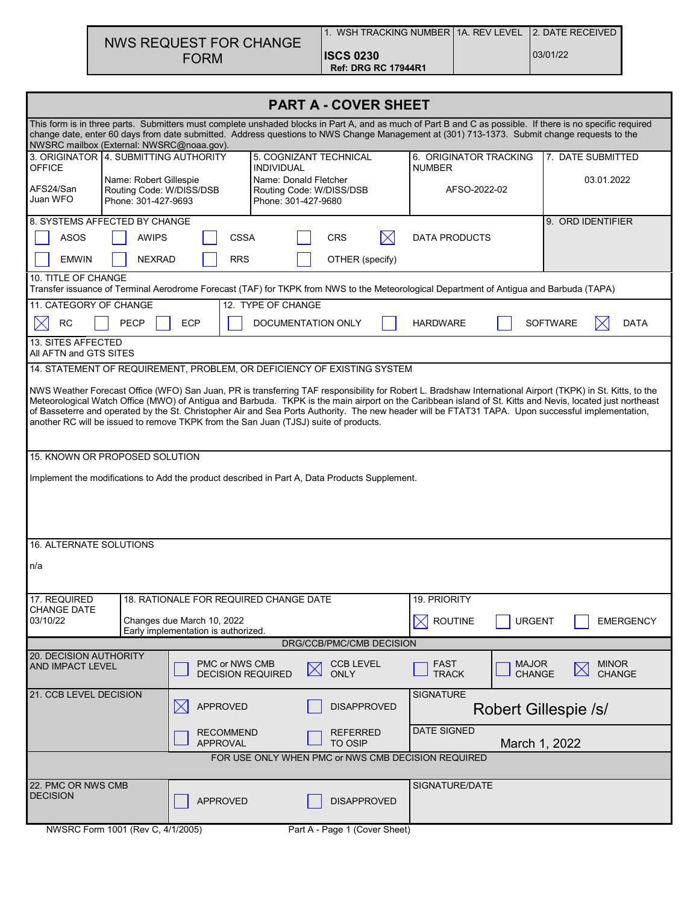| NWS REQUEST FOR CHANGE |  |
|------------------------|--|
| <b>FORM</b>            |  |

| <b>PART A - COVER SHEET</b>                                                                                                                                                                                                                                                                                                                                                                                                                                                                                                                                           |                                                                                      |                                                                         |                                                                          |                                 |                               |                                                                                                                                         |                               |                                |  |  |
|-----------------------------------------------------------------------------------------------------------------------------------------------------------------------------------------------------------------------------------------------------------------------------------------------------------------------------------------------------------------------------------------------------------------------------------------------------------------------------------------------------------------------------------------------------------------------|--------------------------------------------------------------------------------------|-------------------------------------------------------------------------|--------------------------------------------------------------------------|---------------------------------|-------------------------------|-----------------------------------------------------------------------------------------------------------------------------------------|-------------------------------|--------------------------------|--|--|
| This form is in three parts. Submitters must complete unshaded blocks in Part A, and as much of Part B and C as possible. If there is no specific required<br>change date, enter 60 days from date submitted. Address questions to NWS Change Management at (301) 713-1373. Submit change requests to the<br>NWSRC mailbox (External: NWSRC@noaa.gov).                                                                                                                                                                                                                |                                                                                      |                                                                         |                                                                          |                                 |                               |                                                                                                                                         |                               |                                |  |  |
| <b>OFFICE</b>                                                                                                                                                                                                                                                                                                                                                                                                                                                                                                                                                         | 3. ORIGINATOR 4. SUBMITTING AUTHORITY<br>5. COGNIZANT TECHNICAL<br><b>INDIVIDUAL</b> |                                                                         |                                                                          |                                 |                               | 6. ORIGINATOR TRACKING<br>7. DATE SUBMITTED<br><b>NUMBER</b>                                                                            |                               |                                |  |  |
| Name: Robert Gillespie<br>AFS24/San<br>Routing Code: W/DISS/DSB<br>Juan WFO<br>Phone: 301-427-9693                                                                                                                                                                                                                                                                                                                                                                                                                                                                    |                                                                                      |                                                                         | Name: Donald Fletcher<br>Routing Code: W/DISS/DSB<br>Phone: 301-427-9680 |                                 |                               | AFSO-2022-02                                                                                                                            |                               | 03.01.2022                     |  |  |
| 8. SYSTEMS AFFECTED BY CHANGE                                                                                                                                                                                                                                                                                                                                                                                                                                                                                                                                         |                                                                                      |                                                                         |                                                                          |                                 |                               | 9. ORD IDENTIFIER                                                                                                                       |                               |                                |  |  |
| <b>ASOS</b><br><b>AWIPS</b><br><b>CSSA</b><br><b>CRS</b><br><b>DATA PRODUCTS</b>                                                                                                                                                                                                                                                                                                                                                                                                                                                                                      |                                                                                      |                                                                         |                                                                          |                                 |                               |                                                                                                                                         |                               |                                |  |  |
| <b>EMWIN</b><br><b>NEXRAD</b><br><b>RRS</b><br>OTHER (specify)                                                                                                                                                                                                                                                                                                                                                                                                                                                                                                        |                                                                                      |                                                                         |                                                                          |                                 |                               |                                                                                                                                         |                               |                                |  |  |
| 10. TITLE OF CHANGE                                                                                                                                                                                                                                                                                                                                                                                                                                                                                                                                                   |                                                                                      |                                                                         |                                                                          |                                 |                               | Transfer issuance of Terminal Aerodrome Forecast (TAF) for TKPK from NWS to the Meteorological Department of Antigua and Barbuda (TAPA) |                               |                                |  |  |
| 11. CATEGORY OF CHANGE                                                                                                                                                                                                                                                                                                                                                                                                                                                                                                                                                |                                                                                      |                                                                         | 12. TYPE OF CHANGE                                                       |                                 |                               |                                                                                                                                         |                               |                                |  |  |
| <b>RC</b>                                                                                                                                                                                                                                                                                                                                                                                                                                                                                                                                                             | <b>PECP</b>                                                                          | <b>ECP</b>                                                              | DOCUMENTATION ONLY                                                       |                                 |                               | <b>HARDWARE</b>                                                                                                                         |                               | <b>SOFTWARE</b><br><b>DATA</b> |  |  |
| <b>13. SITES AFFECTED</b><br>All AFTN and GTS SITES                                                                                                                                                                                                                                                                                                                                                                                                                                                                                                                   |                                                                                      |                                                                         |                                                                          |                                 |                               |                                                                                                                                         |                               |                                |  |  |
|                                                                                                                                                                                                                                                                                                                                                                                                                                                                                                                                                                       |                                                                                      | 14. STATEMENT OF REQUIREMENT, PROBLEM, OR DEFICIENCY OF EXISTING SYSTEM |                                                                          |                                 |                               |                                                                                                                                         |                               |                                |  |  |
| NWS Weather Forecast Office (WFO) San Juan, PR is transferring TAF responsibility for Robert L. Bradshaw International Airport (TKPK) in St. Kitts, to the<br>Meteorological Watch Office (MWO) of Antigua and Barbuda. TKPK is the main airport on the Caribbean island of St. Kitts and Nevis, located just northeast<br>of Basseterre and operated by the St. Christopher Air and Sea Ports Authority. The new header will be FTAT31 TAPA. Upon successful implementation,<br>another RC will be issued to remove TKPK from the San Juan (TJSJ) suite of products. |                                                                                      |                                                                         |                                                                          |                                 |                               |                                                                                                                                         |                               |                                |  |  |
| 15. KNOWN OR PROPOSED SOLUTION                                                                                                                                                                                                                                                                                                                                                                                                                                                                                                                                        |                                                                                      |                                                                         |                                                                          |                                 |                               |                                                                                                                                         |                               |                                |  |  |
| Implement the modifications to Add the product described in Part A, Data Products Supplement.                                                                                                                                                                                                                                                                                                                                                                                                                                                                         |                                                                                      |                                                                         |                                                                          |                                 |                               |                                                                                                                                         |                               |                                |  |  |
| <b>16. ALTERNATE SOLUTIONS</b>                                                                                                                                                                                                                                                                                                                                                                                                                                                                                                                                        |                                                                                      |                                                                         |                                                                          |                                 |                               |                                                                                                                                         |                               |                                |  |  |
| n/a                                                                                                                                                                                                                                                                                                                                                                                                                                                                                                                                                                   |                                                                                      |                                                                         |                                                                          |                                 |                               |                                                                                                                                         |                               |                                |  |  |
|                                                                                                                                                                                                                                                                                                                                                                                                                                                                                                                                                                       |                                                                                      |                                                                         |                                                                          |                                 |                               |                                                                                                                                         |                               |                                |  |  |
| 17. REQUIRED<br>CHANGE DATE                                                                                                                                                                                                                                                                                                                                                                                                                                                                                                                                           |                                                                                      | 18. RATIONALE FOR REQUIRED CHANGE DATE                                  |                                                                          |                                 |                               | 19. PRIORITY                                                                                                                            |                               |                                |  |  |
| 03/10/22                                                                                                                                                                                                                                                                                                                                                                                                                                                                                                                                                              |                                                                                      | Changes due March 10, 2022                                              |                                                                          |                                 | <b>ROUTINE</b><br>$\boxtimes$ | <b>URGENT</b>                                                                                                                           | <b>EMERGENCY</b>              |                                |  |  |
| Early implementation is authorized.<br>DRG/CCB/PMC/CMB DECISION                                                                                                                                                                                                                                                                                                                                                                                                                                                                                                       |                                                                                      |                                                                         |                                                                          |                                 |                               |                                                                                                                                         |                               |                                |  |  |
| 20. DECISION AUTHORITY<br><b>AND IMPACT LEVEL</b>                                                                                                                                                                                                                                                                                                                                                                                                                                                                                                                     |                                                                                      | PMC or NWS CMB<br><b>DECISION REQUIRED</b>                              |                                                                          | <b>CCB LEVEL</b><br><b>ONLY</b> |                               | <b>FAST</b><br><b>TRACK</b>                                                                                                             | <b>MAJOR</b><br><b>CHANGE</b> | <b>MINOR</b><br>CHANGE         |  |  |
| 21. CCB LEVEL DECISION                                                                                                                                                                                                                                                                                                                                                                                                                                                                                                                                                |                                                                                      | <b>APPROVED</b><br>$\boxtimes$                                          |                                                                          | <b>DISAPPROVED</b>              |                               | <b>SIGNATURE</b><br>Robert Gillespie /s/                                                                                                |                               |                                |  |  |
|                                                                                                                                                                                                                                                                                                                                                                                                                                                                                                                                                                       |                                                                                      | <b>RECOMMEND</b><br><b>APPROVAL</b>                                     |                                                                          | REFERRED<br><b>TO OSIP</b>      |                               | <b>DATE SIGNED</b>                                                                                                                      | March 1, 2022                 |                                |  |  |
| FOR USE ONLY WHEN PMC or NWS CMB DECISION REQUIRED                                                                                                                                                                                                                                                                                                                                                                                                                                                                                                                    |                                                                                      |                                                                         |                                                                          |                                 |                               |                                                                                                                                         |                               |                                |  |  |
| 22. PMC OR NWS CMB<br><b>DECISION</b>                                                                                                                                                                                                                                                                                                                                                                                                                                                                                                                                 |                                                                                      | <b>APPROVED</b>                                                         |                                                                          | <b>DISAPPROVED</b>              |                               | SIGNATURE/DATE                                                                                                                          |                               |                                |  |  |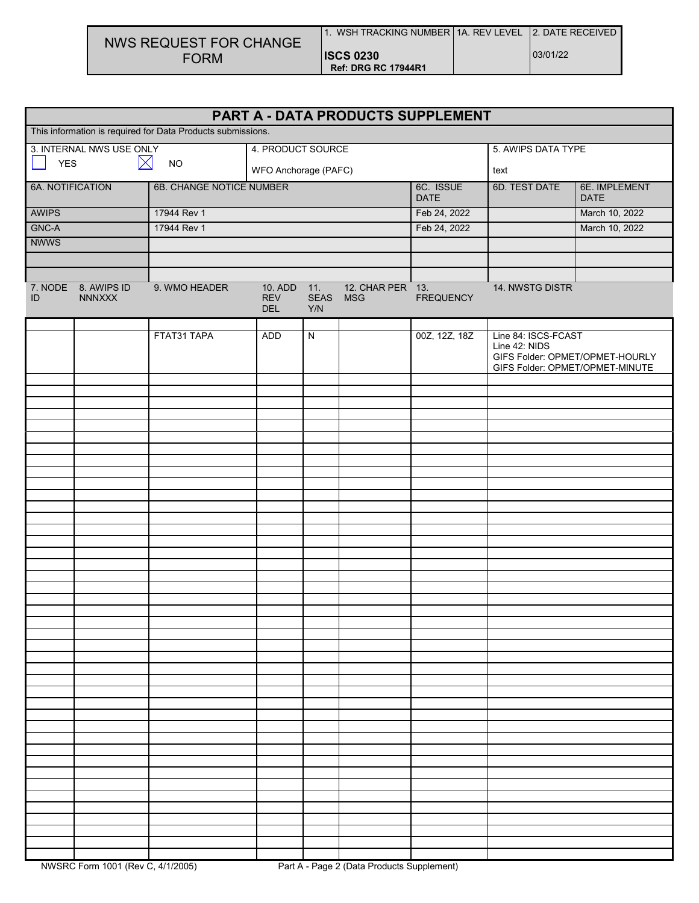| NWS REQUEST FOR CHANGE |
|------------------------|
| <b>FORM</b>            |

| PART A - DATA PRODUCTS SUPPLEMENT                           |                                      |                          |                                         |                    |                                |                  |                                      |                                                                    |  |
|-------------------------------------------------------------|--------------------------------------|--------------------------|-----------------------------------------|--------------------|--------------------------------|------------------|--------------------------------------|--------------------------------------------------------------------|--|
| This information is required for Data Products submissions. |                                      |                          |                                         |                    |                                |                  |                                      |                                                                    |  |
| 3. INTERNAL NWS USE ONLY                                    |                                      |                          | 4. PRODUCT SOURCE                       |                    |                                |                  | 5. AWIPS DATA TYPE                   |                                                                    |  |
| <b>YES</b>                                                  | $\boxtimes$                          | NO                       | WFO Anchorage (PAFC)                    |                    |                                |                  | text                                 |                                                                    |  |
| 6A. NOTIFICATION                                            |                                      | 6B. CHANGE NOTICE NUMBER |                                         |                    | 6C. ISSUE<br><b>DATE</b>       | 6D. TEST DATE    | 6E. IMPLEMENT<br><b>DATE</b>         |                                                                    |  |
| AWIPS                                                       |                                      | 17944 Rev 1              |                                         |                    |                                | Feb 24, 2022     |                                      | March 10, 2022                                                     |  |
| GNC-A                                                       |                                      | 17944 Rev 1              |                                         |                    |                                | Feb 24, 2022     |                                      | March 10, 2022                                                     |  |
| <b>NWWS</b>                                                 |                                      |                          |                                         |                    |                                |                  |                                      |                                                                    |  |
|                                                             |                                      |                          |                                         |                    |                                |                  |                                      |                                                                    |  |
| ID                                                          | 7. NODE 8. AWIPS ID<br><b>NNNXXX</b> | 9. WMO HEADER            | 10. ADD 11.<br><b>REV</b><br><b>DEL</b> | <b>SEAS</b><br>Y/N | 12. CHAR PER 13.<br><b>MSG</b> | <b>FREQUENCY</b> | 14. NWSTG DISTR                      |                                                                    |  |
|                                                             |                                      |                          |                                         |                    |                                |                  |                                      |                                                                    |  |
|                                                             |                                      | FTAT31 TAPA              | <b>ADD</b>                              | N                  |                                | 00Z, 12Z, 18Z    | Line 84: ISCS-FCAST<br>Line 42: NIDS | GIFS Folder: OPMET/OPMET-HOURLY<br>GIFS Folder: OPMET/OPMET-MINUTE |  |
|                                                             |                                      |                          |                                         |                    |                                |                  |                                      |                                                                    |  |
|                                                             |                                      |                          |                                         |                    |                                |                  |                                      |                                                                    |  |
|                                                             |                                      |                          |                                         |                    |                                |                  |                                      |                                                                    |  |
|                                                             |                                      |                          |                                         |                    |                                |                  |                                      |                                                                    |  |
|                                                             |                                      |                          |                                         |                    |                                |                  |                                      |                                                                    |  |
|                                                             |                                      |                          |                                         |                    |                                |                  |                                      |                                                                    |  |
|                                                             |                                      |                          |                                         |                    |                                |                  |                                      |                                                                    |  |
|                                                             |                                      |                          |                                         |                    |                                |                  |                                      |                                                                    |  |
|                                                             |                                      |                          |                                         |                    |                                |                  |                                      |                                                                    |  |
|                                                             |                                      |                          |                                         |                    |                                |                  |                                      |                                                                    |  |
|                                                             |                                      |                          |                                         |                    |                                |                  |                                      |                                                                    |  |
|                                                             |                                      |                          |                                         |                    |                                |                  |                                      |                                                                    |  |
|                                                             |                                      |                          |                                         |                    |                                |                  |                                      |                                                                    |  |
|                                                             |                                      |                          |                                         |                    |                                |                  |                                      |                                                                    |  |
|                                                             |                                      |                          |                                         |                    |                                |                  |                                      |                                                                    |  |
|                                                             |                                      |                          |                                         |                    |                                |                  |                                      |                                                                    |  |
|                                                             |                                      |                          |                                         |                    |                                |                  |                                      |                                                                    |  |
|                                                             |                                      |                          |                                         |                    |                                |                  |                                      |                                                                    |  |
|                                                             |                                      |                          |                                         |                    |                                |                  |                                      |                                                                    |  |
|                                                             |                                      |                          |                                         |                    |                                |                  |                                      |                                                                    |  |
|                                                             |                                      |                          |                                         |                    |                                |                  |                                      |                                                                    |  |
|                                                             |                                      |                          |                                         |                    |                                |                  |                                      |                                                                    |  |
|                                                             |                                      |                          |                                         |                    |                                |                  |                                      |                                                                    |  |
|                                                             |                                      |                          |                                         |                    |                                |                  |                                      |                                                                    |  |
|                                                             |                                      |                          |                                         |                    |                                |                  |                                      |                                                                    |  |
|                                                             |                                      |                          |                                         |                    |                                |                  |                                      |                                                                    |  |
|                                                             |                                      |                          |                                         |                    |                                |                  |                                      |                                                                    |  |
|                                                             |                                      |                          |                                         |                    |                                |                  |                                      |                                                                    |  |
|                                                             |                                      |                          |                                         |                    |                                |                  |                                      |                                                                    |  |
|                                                             |                                      |                          |                                         |                    |                                |                  |                                      |                                                                    |  |